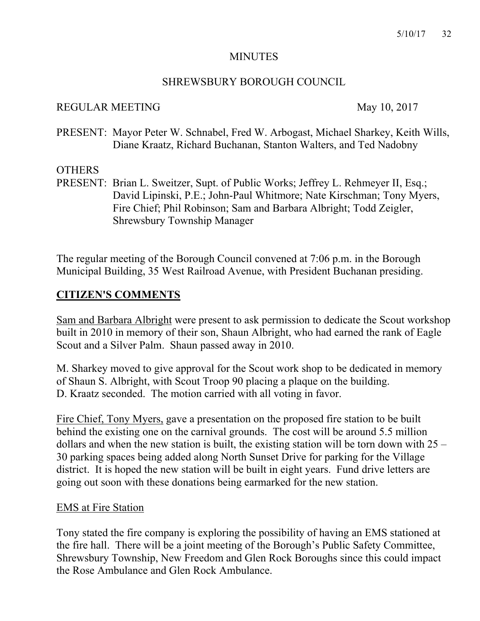#### MINUTES

#### SHREWSBURY BOROUGH COUNCIL

#### REGULAR MEETING May 10, 2017

PRESENT: Mayor Peter W. Schnabel, Fred W. Arbogast, Michael Sharkey, Keith Wills, Diane Kraatz, Richard Buchanan, Stanton Walters, and Ted Nadobny

#### **OTHERS**

PRESENT: Brian L. Sweitzer, Supt. of Public Works; Jeffrey L. Rehmeyer II, Esq.; David Lipinski, P.E.; John-Paul Whitmore; Nate Kirschman; Tony Myers, Fire Chief; Phil Robinson; Sam and Barbara Albright; Todd Zeigler, Shrewsbury Township Manager

The regular meeting of the Borough Council convened at 7:06 p.m. in the Borough Municipal Building, 35 West Railroad Avenue, with President Buchanan presiding.

### **CITIZEN'S COMMENTS**

Sam and Barbara Albright were present to ask permission to dedicate the Scout workshop built in 2010 in memory of their son, Shaun Albright, who had earned the rank of Eagle Scout and a Silver Palm. Shaun passed away in 2010.

M. Sharkey moved to give approval for the Scout work shop to be dedicated in memory of Shaun S. Albright, with Scout Troop 90 placing a plaque on the building. D. Kraatz seconded. The motion carried with all voting in favor.

Fire Chief, Tony Myers, gave a presentation on the proposed fire station to be built behind the existing one on the carnival grounds. The cost will be around 5.5 million dollars and when the new station is built, the existing station will be torn down with 25 – 30 parking spaces being added along North Sunset Drive for parking for the Village district. It is hoped the new station will be built in eight years. Fund drive letters are going out soon with these donations being earmarked for the new station.

#### EMS at Fire Station

Tony stated the fire company is exploring the possibility of having an EMS stationed at the fire hall. There will be a joint meeting of the Borough's Public Safety Committee, Shrewsbury Township, New Freedom and Glen Rock Boroughs since this could impact the Rose Ambulance and Glen Rock Ambulance.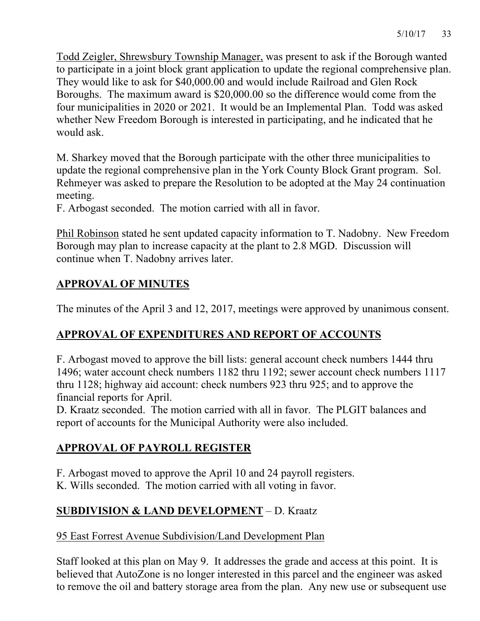Todd Zeigler, Shrewsbury Township Manager, was present to ask if the Borough wanted to participate in a joint block grant application to update the regional comprehensive plan. They would like to ask for \$40,000.00 and would include Railroad and Glen Rock Boroughs. The maximum award is \$20,000.00 so the difference would come from the four municipalities in 2020 or 2021. It would be an Implemental Plan. Todd was asked whether New Freedom Borough is interested in participating, and he indicated that he would ask.

M. Sharkey moved that the Borough participate with the other three municipalities to update the regional comprehensive plan in the York County Block Grant program. Sol. Rehmeyer was asked to prepare the Resolution to be adopted at the May 24 continuation meeting.

F. Arbogast seconded. The motion carried with all in favor.

Phil Robinson stated he sent updated capacity information to T. Nadobny. New Freedom Borough may plan to increase capacity at the plant to 2.8 MGD. Discussion will continue when T. Nadobny arrives later.

# **APPROVAL OF MINUTES**

The minutes of the April 3 and 12, 2017, meetings were approved by unanimous consent.

# **APPROVAL OF EXPENDITURES AND REPORT OF ACCOUNTS**

F. Arbogast moved to approve the bill lists: general account check numbers 1444 thru 1496; water account check numbers 1182 thru 1192; sewer account check numbers 1117 thru 1128; highway aid account: check numbers 923 thru 925; and to approve the financial reports for April.

D. Kraatz seconded. The motion carried with all in favor. The PLGIT balances and report of accounts for the Municipal Authority were also included.

# **APPROVAL OF PAYROLL REGISTER**

F. Arbogast moved to approve the April 10 and 24 payroll registers.

K. Wills seconded. The motion carried with all voting in favor.

# **SUBDIVISION & LAND DEVELOPMENT** – D. Kraatz

## 95 East Forrest Avenue Subdivision/Land Development Plan

Staff looked at this plan on May 9. It addresses the grade and access at this point. It is believed that AutoZone is no longer interested in this parcel and the engineer was asked to remove the oil and battery storage area from the plan. Any new use or subsequent use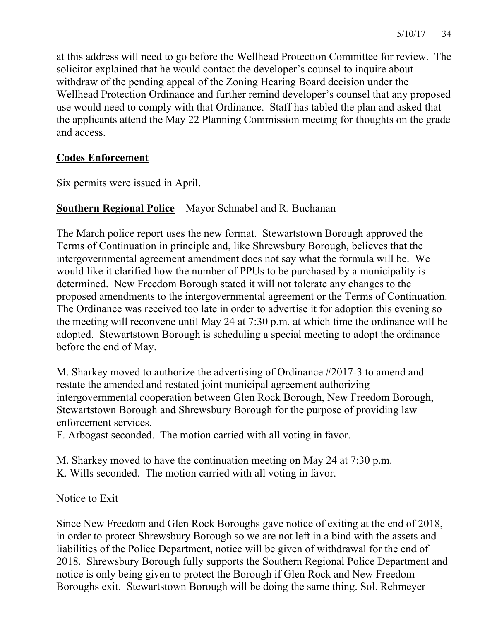at this address will need to go before the Wellhead Protection Committee for review. The solicitor explained that he would contact the developer's counsel to inquire about withdraw of the pending appeal of the Zoning Hearing Board decision under the Wellhead Protection Ordinance and further remind developer's counsel that any proposed use would need to comply with that Ordinance. Staff has tabled the plan and asked that the applicants attend the May 22 Planning Commission meeting for thoughts on the grade and access.

## **Codes Enforcement**

Six permits were issued in April.

## **Southern Regional Police** – Mayor Schnabel and R. Buchanan

The March police report uses the new format. Stewartstown Borough approved the Terms of Continuation in principle and, like Shrewsbury Borough, believes that the intergovernmental agreement amendment does not say what the formula will be. We would like it clarified how the number of PPUs to be purchased by a municipality is determined. New Freedom Borough stated it will not tolerate any changes to the proposed amendments to the intergovernmental agreement or the Terms of Continuation. The Ordinance was received too late in order to advertise it for adoption this evening so the meeting will reconvene until May 24 at 7:30 p.m. at which time the ordinance will be adopted. Stewartstown Borough is scheduling a special meeting to adopt the ordinance before the end of May.

M. Sharkey moved to authorize the advertising of Ordinance #2017-3 to amend and restate the amended and restated joint municipal agreement authorizing intergovernmental cooperation between Glen Rock Borough, New Freedom Borough, Stewartstown Borough and Shrewsbury Borough for the purpose of providing law enforcement services.

F. Arbogast seconded. The motion carried with all voting in favor.

M. Sharkey moved to have the continuation meeting on May 24 at 7:30 p.m. K. Wills seconded. The motion carried with all voting in favor.

#### Notice to Exit

Since New Freedom and Glen Rock Boroughs gave notice of exiting at the end of 2018, in order to protect Shrewsbury Borough so we are not left in a bind with the assets and liabilities of the Police Department, notice will be given of withdrawal for the end of 2018. Shrewsbury Borough fully supports the Southern Regional Police Department and notice is only being given to protect the Borough if Glen Rock and New Freedom Boroughs exit. Stewartstown Borough will be doing the same thing. Sol. Rehmeyer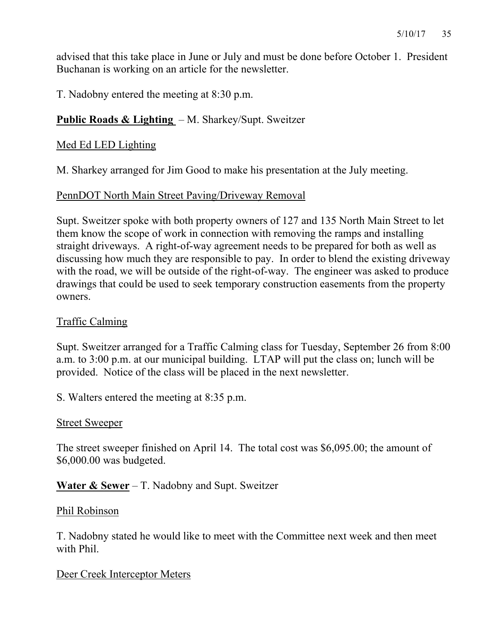advised that this take place in June or July and must be done before October 1. President Buchanan is working on an article for the newsletter.

T. Nadobny entered the meeting at 8:30 p.m.

### **Public Roads & Lighting** – M. Sharkey/Supt. Sweitzer

#### Med Ed LED Lighting

M. Sharkey arranged for Jim Good to make his presentation at the July meeting.

#### PennDOT North Main Street Paving/Driveway Removal

Supt. Sweitzer spoke with both property owners of 127 and 135 North Main Street to let them know the scope of work in connection with removing the ramps and installing straight driveways. A right-of-way agreement needs to be prepared for both as well as discussing how much they are responsible to pay. In order to blend the existing driveway with the road, we will be outside of the right-of-way. The engineer was asked to produce drawings that could be used to seek temporary construction easements from the property owners.

#### Traffic Calming

Supt. Sweitzer arranged for a Traffic Calming class for Tuesday, September 26 from 8:00 a.m. to 3:00 p.m. at our municipal building. LTAP will put the class on; lunch will be provided. Notice of the class will be placed in the next newsletter.

S. Walters entered the meeting at 8:35 p.m.

#### Street Sweeper

The street sweeper finished on April 14. The total cost was \$6,095.00; the amount of \$6,000.00 was budgeted.

#### **Water & Sewer** – T. Nadobny and Supt. Sweitzer

#### Phil Robinson

T. Nadobny stated he would like to meet with the Committee next week and then meet with Phil.

#### Deer Creek Interceptor Meters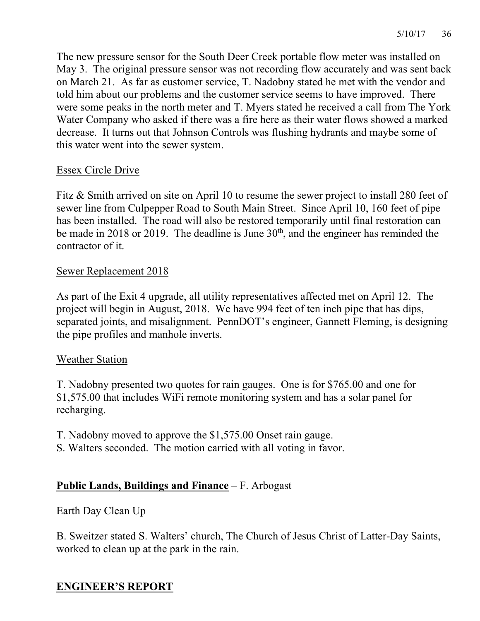The new pressure sensor for the South Deer Creek portable flow meter was installed on May 3. The original pressure sensor was not recording flow accurately and was sent back on March 21. As far as customer service, T. Nadobny stated he met with the vendor and told him about our problems and the customer service seems to have improved. There were some peaks in the north meter and T. Myers stated he received a call from The York Water Company who asked if there was a fire here as their water flows showed a marked decrease. It turns out that Johnson Controls was flushing hydrants and maybe some of this water went into the sewer system.

## Essex Circle Drive

Fitz & Smith arrived on site on April 10 to resume the sewer project to install 280 feet of sewer line from Culpepper Road to South Main Street. Since April 10, 160 feet of pipe has been installed. The road will also be restored temporarily until final restoration can be made in 2018 or 2019. The deadline is June  $30<sup>th</sup>$ , and the engineer has reminded the contractor of it.

## Sewer Replacement 2018

As part of the Exit 4 upgrade, all utility representatives affected met on April 12. The project will begin in August, 2018. We have 994 feet of ten inch pipe that has dips, separated joints, and misalignment. PennDOT's engineer, Gannett Fleming, is designing the pipe profiles and manhole inverts.

## Weather Station

T. Nadobny presented two quotes for rain gauges. One is for \$765.00 and one for \$1,575.00 that includes WiFi remote monitoring system and has a solar panel for recharging.

T. Nadobny moved to approve the \$1,575.00 Onset rain gauge.

S. Walters seconded. The motion carried with all voting in favor.

## **Public Lands, Buildings and Finance** – F. Arbogast

#### Earth Day Clean Up

B. Sweitzer stated S. Walters' church, The Church of Jesus Christ of Latter-Day Saints, worked to clean up at the park in the rain.

## **ENGINEER'S REPORT**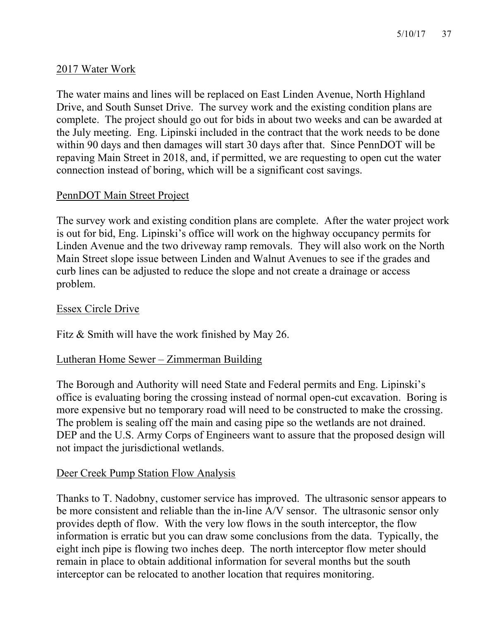### 2017 Water Work

The water mains and lines will be replaced on East Linden Avenue, North Highland Drive, and South Sunset Drive. The survey work and the existing condition plans are complete. The project should go out for bids in about two weeks and can be awarded at the July meeting. Eng. Lipinski included in the contract that the work needs to be done within 90 days and then damages will start 30 days after that. Since PennDOT will be repaving Main Street in 2018, and, if permitted, we are requesting to open cut the water connection instead of boring, which will be a significant cost savings.

#### PennDOT Main Street Project

The survey work and existing condition plans are complete. After the water project work is out for bid, Eng. Lipinski's office will work on the highway occupancy permits for Linden Avenue and the two driveway ramp removals. They will also work on the North Main Street slope issue between Linden and Walnut Avenues to see if the grades and curb lines can be adjusted to reduce the slope and not create a drainage or access problem.

### Essex Circle Drive

Fitz & Smith will have the work finished by May 26.

#### Lutheran Home Sewer – Zimmerman Building

The Borough and Authority will need State and Federal permits and Eng. Lipinski's office is evaluating boring the crossing instead of normal open-cut excavation. Boring is more expensive but no temporary road will need to be constructed to make the crossing. The problem is sealing off the main and casing pipe so the wetlands are not drained. DEP and the U.S. Army Corps of Engineers want to assure that the proposed design will not impact the jurisdictional wetlands.

#### Deer Creek Pump Station Flow Analysis

Thanks to T. Nadobny, customer service has improved. The ultrasonic sensor appears to be more consistent and reliable than the in-line A/V sensor. The ultrasonic sensor only provides depth of flow. With the very low flows in the south interceptor, the flow information is erratic but you can draw some conclusions from the data. Typically, the eight inch pipe is flowing two inches deep. The north interceptor flow meter should remain in place to obtain additional information for several months but the south interceptor can be relocated to another location that requires monitoring.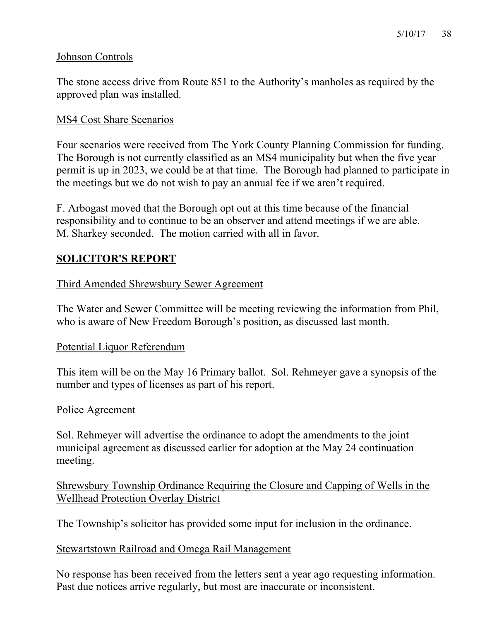### Johnson Controls

The stone access drive from Route 851 to the Authority's manholes as required by the approved plan was installed.

#### MS4 Cost Share Scenarios

Four scenarios were received from The York County Planning Commission for funding. The Borough is not currently classified as an MS4 municipality but when the five year permit is up in 2023, we could be at that time. The Borough had planned to participate in the meetings but we do not wish to pay an annual fee if we aren't required.

F. Arbogast moved that the Borough opt out at this time because of the financial responsibility and to continue to be an observer and attend meetings if we are able. M. Sharkey seconded. The motion carried with all in favor.

## **SOLICITOR'S REPORT**

### Third Amended Shrewsbury Sewer Agreement

The Water and Sewer Committee will be meeting reviewing the information from Phil, who is aware of New Freedom Borough's position, as discussed last month.

#### Potential Liquor Referendum

This item will be on the May 16 Primary ballot. Sol. Rehmeyer gave a synopsis of the number and types of licenses as part of his report.

#### Police Agreement

Sol. Rehmeyer will advertise the ordinance to adopt the amendments to the joint municipal agreement as discussed earlier for adoption at the May 24 continuation meeting.

### Shrewsbury Township Ordinance Requiring the Closure and Capping of Wells in the Wellhead Protection Overlay District

The Township's solicitor has provided some input for inclusion in the ordinance.

#### Stewartstown Railroad and Omega Rail Management

No response has been received from the letters sent a year ago requesting information. Past due notices arrive regularly, but most are inaccurate or inconsistent.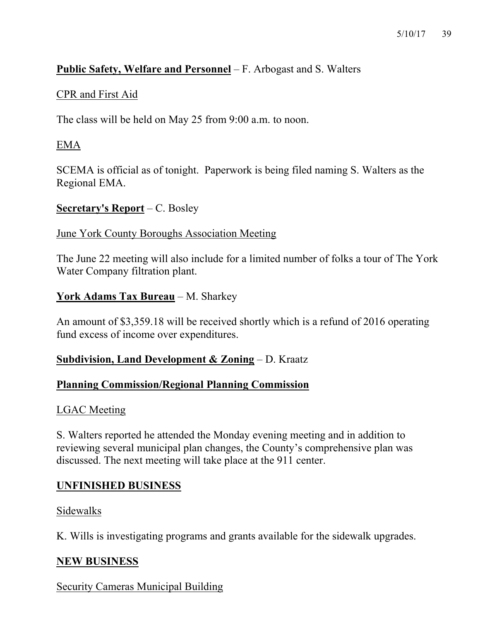## **Public Safety, Welfare and Personnel** – F. Arbogast and S. Walters

### CPR and First Aid

The class will be held on May 25 from 9:00 a.m. to noon.

## EMA

SCEMA is official as of tonight. Paperwork is being filed naming S. Walters as the Regional EMA.

#### **Secretary's Report** – C. Bosley

#### June York County Boroughs Association Meeting

The June 22 meeting will also include for a limited number of folks a tour of The York Water Company filtration plant.

## **York Adams Tax Bureau** – M. Sharkey

An amount of \$3,359.18 will be received shortly which is a refund of 2016 operating fund excess of income over expenditures.

#### **Subdivision, Land Development & Zoning** – D. Kraatz

#### **Planning Commission/Regional Planning Commission**

#### LGAC Meeting

S. Walters reported he attended the Monday evening meeting and in addition to reviewing several municipal plan changes, the County's comprehensive plan was discussed. The next meeting will take place at the 911 center.

## **UNFINISHED BUSINESS**

#### Sidewalks

K. Wills is investigating programs and grants available for the sidewalk upgrades.

#### **NEW BUSINESS**

Security Cameras Municipal Building